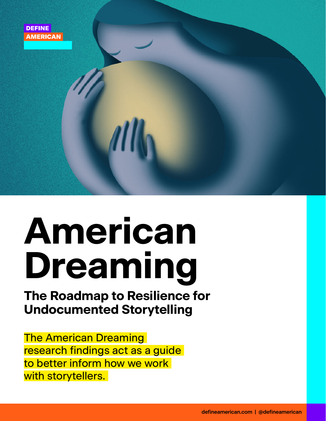

# **American Dreaming**

## **The Roadmap to Resilience for Undocumented Storytelling**

The American Dreaming research findings act as a guide to better inform how we work with storytellers.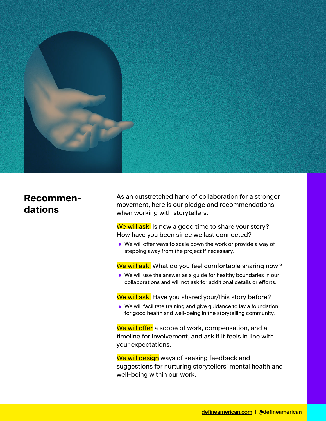

#### **Recommendations**

As an outstretched hand of collaboration for a stronger movement, here is our pledge and recommendations when working with storytellers:

We will ask: Is now a good time to share your story? How have you been since we last connected?

**•** We will offer ways to scale down the work or provide a way of stepping away from the project if necessary.

We will ask: What do you feel comfortable sharing now?

**•** We will use the answer as a guide for healthy boundaries in our collaborations and will not ask for additional details or efforts.

We will ask: Have you shared your/this story before?

**•** We will facilitate training and give guidance to lay a foundation for good health and well-being in the storytelling community.

We will offer a scope of work, compensation, and a timeline for involvement, and ask if it feels in line with your expectations.

We will design ways of seeking feedback and suggestions for nurturing storytellers' mental health and well-being within our work.